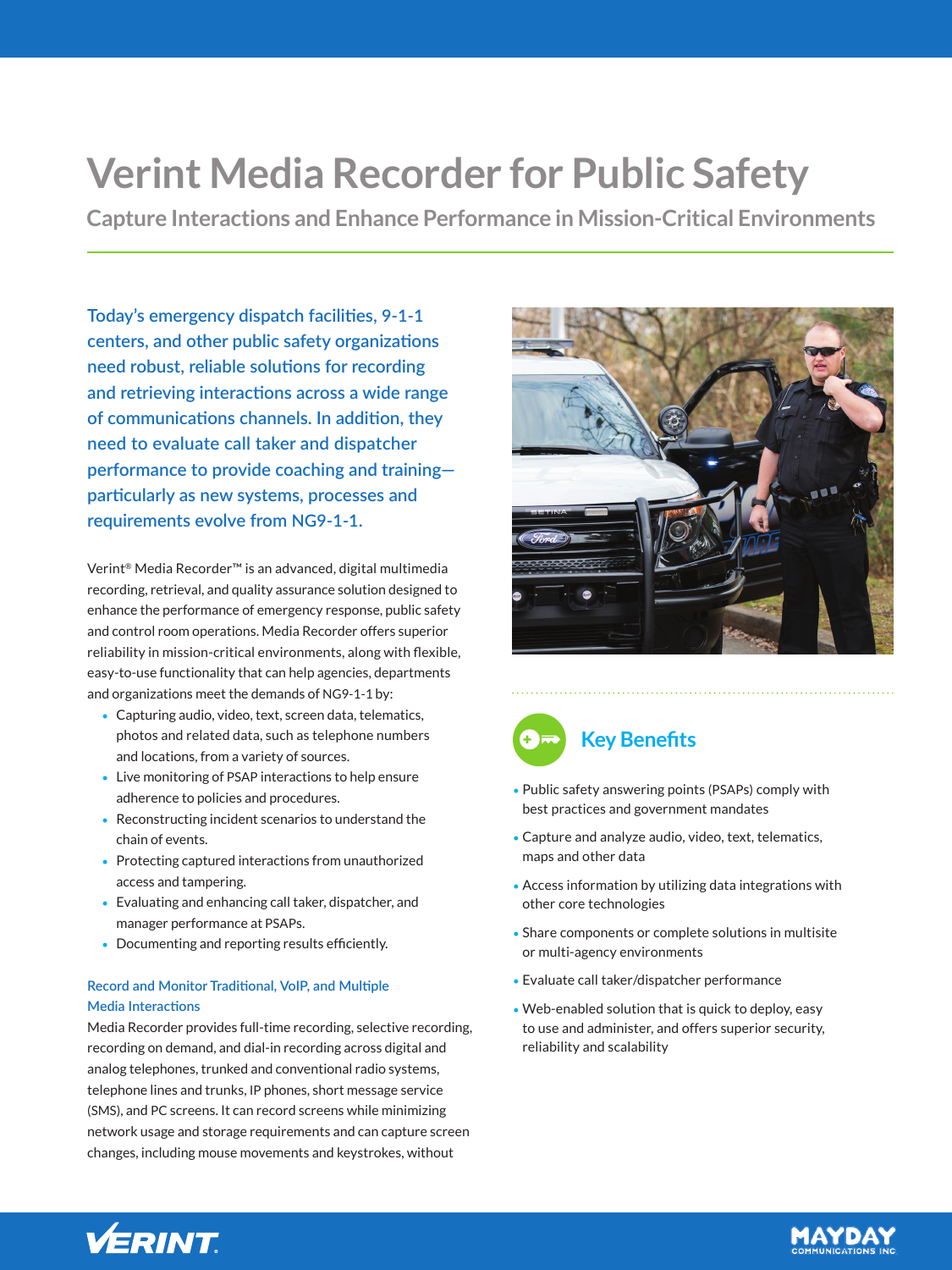# **Verint Media Recorder for Public Safety**

**Capture Interactions and Enhance Performance in Mission-Critical Environments**

**Today's emergency dispatch facilities, 9-1-1 centers, and other public safety organizations need robust, reliable solutions for recording and retrieving interactions across a wide range of communications channels. In addition, they need to evaluate call taker and dispatcher performance to provide coaching and training particularly as new systems, processes and requirements evolve from NG9-1-1.**

Verint® Media Recorder™ is an advanced, digital multimedia recording, retrieval, and quality assurance solution designed to enhance the performance of emergency response, public safety and control room operations. Media Recorder offers superior reliability in mission-critical environments, along with flexible, easy-to-use functionality that can help agencies, departments and organizations meet the demands of NG9-1-1 by:

- Capturing audio, video, text, screen data, telematics, photos and related data, such as telephone numbers and locations, from a variety of sources.
- Live monitoring of PSAP interactions to help ensure adherence to policies and procedures.
- Reconstructing incident scenarios to understand the chain of events.
- Protecting captured interactions from unauthorized access and tampering.
- Evaluating and enhancing call taker, dispatcher, and manager performance at PSAPs.
- Documenting and reporting results efficiently.

# **Record and Monitor Traditional, VoIP, and Multiple Media Interactions**

Media Recorder provides full-time recording, selective recording, recording on demand, and dial-in recording across digital and analog telephones, trunked and conventional radio systems, telephone lines and trunks, IP phones, short message service (SMS), and PC screens. It can record screens while minimizing network usage and storage requirements and can capture screen changes, including mouse movements and keystrokes, without





- Public safety answering points (PSAPs) comply with best practices and government mandates
- Capture and analyze audio, video, text, telematics, maps and other data
- Access information by utilizing data integrations with other core technologies
- Share components or complete solutions in multisite or multi-agency environments
- Evaluate call taker/dispatcher performance
- Web-enabled solution that is quick to deploy, easy to use and administer, and offers superior security, reliability and scalability